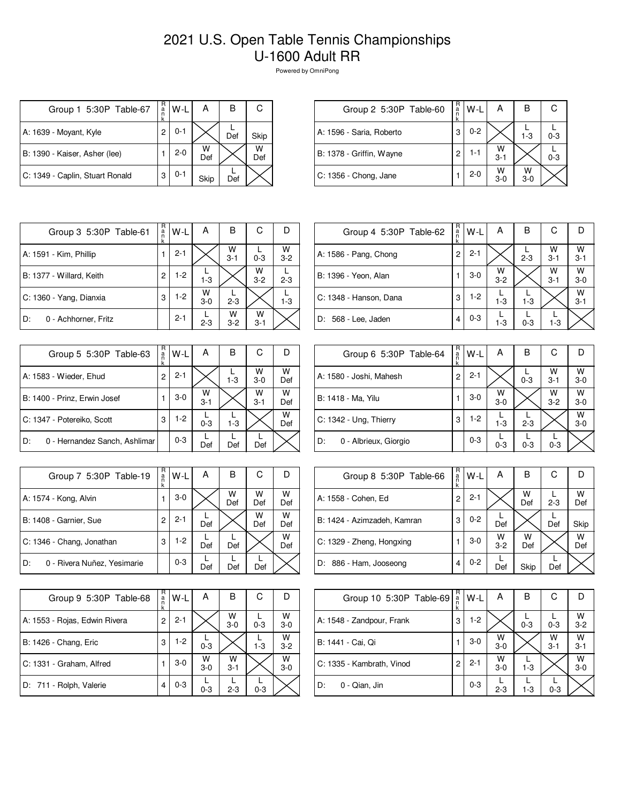## 2021 U.S. Open Table Tennis Championships U-1600 Adult RR

Powered by OmniPong

| Group 1 5:30P Table-67          | R<br>a<br>n    | $W-L$   | А        | в   | С        |
|---------------------------------|----------------|---------|----------|-----|----------|
| A: 1639 - Moyant, Kyle          | $\overline{c}$ | $0 - 1$ |          | Def | Skip     |
| B: 1390 - Kaiser, Asher (lee)   |                | $2 - 0$ | W<br>Def |     | W<br>Def |
| C: 1349 - Caplin, Stuart Ronald | 3              | $0 - 1$ | Skip     | Def |          |

| Group 2 5:30P Table-60   | $_{\rm a}^{\rm R}$<br>$\ddot{R}$ | W-L     | А            | в          |         |
|--------------------------|----------------------------------|---------|--------------|------------|---------|
| A: 1596 - Saria, Roberto | 3                                | $0 - 2$ |              | $1 - 3$    | $0 - 3$ |
| B: 1378 - Griffin, Wayne | 2                                | 1-1     | W<br>$3 - 1$ |            | $0 - 3$ |
| C: 1356 - Chong, Jane    |                                  | $2 - 0$ | W<br>$3-0$   | w<br>$3-0$ |         |

| Group 3 5:30P Table-61     | R<br>$\frac{a}{n}$<br>k | W-L     | А            | B            | С            |              |
|----------------------------|-------------------------|---------|--------------|--------------|--------------|--------------|
| A: 1591 - Kim, Phillip     |                         | $2 - 1$ |              | W<br>$3 - 1$ | $0 - 3$      | W<br>$3 - 2$ |
| B: 1377 - Willard, Keith   | 2                       | $1-2$   | $1 - 3$      |              | W<br>$3 - 2$ | $2 - 3$      |
| C: 1360 - Yang, Dianxia    | 3                       | $1-2$   | W<br>$3 - 0$ | $2 - 3$      |              | $1 - 3$      |
| D:<br>0 - Achhorner, Fritz |                         | $2 - 1$ | $2 - 3$      | w<br>$3-2$   | W<br>$3 - 1$ |              |

| Group 5 5:30P Table-63              | R<br>a<br>k | W-L     | Α            | в       | С            |          |
|-------------------------------------|-------------|---------|--------------|---------|--------------|----------|
| A: 1583 - Wieder, Ehud              | 2           | $2 - 1$ |              | $1 - 3$ | W<br>$3-0$   | W<br>Def |
| B: 1400 - Prinz, Erwin Josef        |             | $3-0$   | W<br>$3 - 1$ |         | W<br>$3 - 1$ | W<br>Def |
| C: 1347 - Potereiko, Scott          | 3           | $1-2$   | $0 - 3$      | $1 - 3$ |              | W<br>Def |
| 0 - Hernandez Sanch, Ashlimar<br>D: |             | $0 - 3$ | Def          | Def     | Def          |          |

| Group 7 5:30P Table-19            | R<br>a<br>k | W-L     | А   | B        | С        |          |
|-----------------------------------|-------------|---------|-----|----------|----------|----------|
| A: 1574 - Kong, Alvin             |             | $3-0$   |     | W<br>Def | W<br>Def | W<br>Def |
| B: 1408 - Garnier, Sue            | 2           | $2 - 1$ | Def |          | W<br>Def | W<br>Def |
| C: 1346 - Chang, Jonathan         | 3           | 1-2     | Def | Def      |          | W<br>Def |
| 0 - Rivera Nuñez, Yesimarie<br>D: |             | $0 - 3$ | Def | Def      | Def      |          |

| Group 9 5:30P Table-68        | R<br>a<br>k | W-L     | А          | в            | С       |              |
|-------------------------------|-------------|---------|------------|--------------|---------|--------------|
| A: 1553 - Rojas, Edwin Rivera | 2           | $2 - 1$ |            | W<br>$3-0$   | $0 - 3$ | W<br>$3 - 0$ |
| B: 1426 - Chang, Eric         | 3           | $1-2$   | $0 - 3$    |              | $1 - 3$ | W<br>$3 - 2$ |
| C: 1331 - Graham, Alfred      |             | $3-0$   | W<br>$3-0$ | w<br>$3 - 1$ |         | W<br>$3 - 0$ |
| D: 711 - Rolph, Valerie       |             | $0 - 3$ | $0 - 3$    | $2 - 3$      | $0 - 3$ |              |

| Group 4 5:30P Table-62 | R<br>a<br>k | $W-L$   | A                  | в       | С            |              |
|------------------------|-------------|---------|--------------------|---------|--------------|--------------|
| A: 1586 - Pang, Chong  | 2           | $2 - 1$ |                    | $2 - 3$ | W<br>$3 - 1$ | w<br>$3 - 1$ |
| B: 1396 - Yeon, Alan   |             | $3-0$   | $W$ <sub>3-2</sub> |         | W<br>$3 - 1$ | W<br>$3 - 0$ |
| C: 1348 - Hanson, Dana | 3           | $1-2$   | $1 - 3$            | $1 - 3$ |              | W<br>$3 - 1$ |
| D: 568 - Lee, Jaden    | 4           | $0 - 3$ | $1 - 3$            | $0 - 3$ | $1 - 3$      |              |

| Group 6 5:30P Table-64      | R<br>$\frac{a}{n}$ | W-L     | А            | В       | С            |                    |
|-----------------------------|--------------------|---------|--------------|---------|--------------|--------------------|
| A: 1580 - Joshi, Mahesh     | 2                  | $2 - 1$ |              | $0 - 3$ | W<br>$3 - 1$ | $W$ <sub>3-0</sub> |
| B: 1418 - Ma, Yilu          |                    | $3-0$   | W<br>$3 - 0$ |         | W<br>$3 - 2$ | W<br>$3-0$         |
| C: 1342 - Ung, Thierry      | 3                  | $1-2$   | $1 - 3$      | $2 - 3$ |              | W<br>$3 - 0$       |
| D:<br>0 - Albrieux, Giorgio |                    | $0 - 3$ | $0 - 3$      | $0 - 3$ | $0 - 3$      |                    |

| Group 8 5:30P Table-66      | R<br>a | W-L     | Α            | в        | С       |          |
|-----------------------------|--------|---------|--------------|----------|---------|----------|
| A: 1558 - Cohen, Ed         | 2      | $2 - 1$ |              | W<br>Def | $2 - 3$ | W<br>Def |
| B: 1424 - Azimzadeh, Kamran | 3      | $0 - 2$ | Def          |          | Def     | Skip     |
| C: 1329 - Zheng, Hongxing   |        | $3-0$   | W<br>$3 - 2$ | w<br>Def |         | W<br>Def |
| D: 886 - Ham, Jooseong      | 4      | $0 - 2$ | Def          | Skip     | Def     |          |

| Group 10 5:30P Table-69   | R<br>$\frac{a}{n}$<br>k | $W-L$   | А          | В       | С            |                    |
|---------------------------|-------------------------|---------|------------|---------|--------------|--------------------|
| A: 1548 - Zandpour, Frank | 3                       | $1-2$   |            | $0 - 3$ | $0 - 3$      | $W$ <sub>3-2</sub> |
| B: 1441 - Cai, Qi         |                         | $3-0$   | W<br>$3-0$ |         | w<br>$3 - 1$ | W<br>$3 - 1$       |
| C: 1335 - Kambrath, Vinod | 2                       | $2 - 1$ | w<br>$3-0$ | $1 - 3$ |              | W<br>$3-0$         |
| D:<br>0 - Qian, Jin       |                         | $0 - 3$ | $2 - 3$    | 1-3     | $0 - 3$      |                    |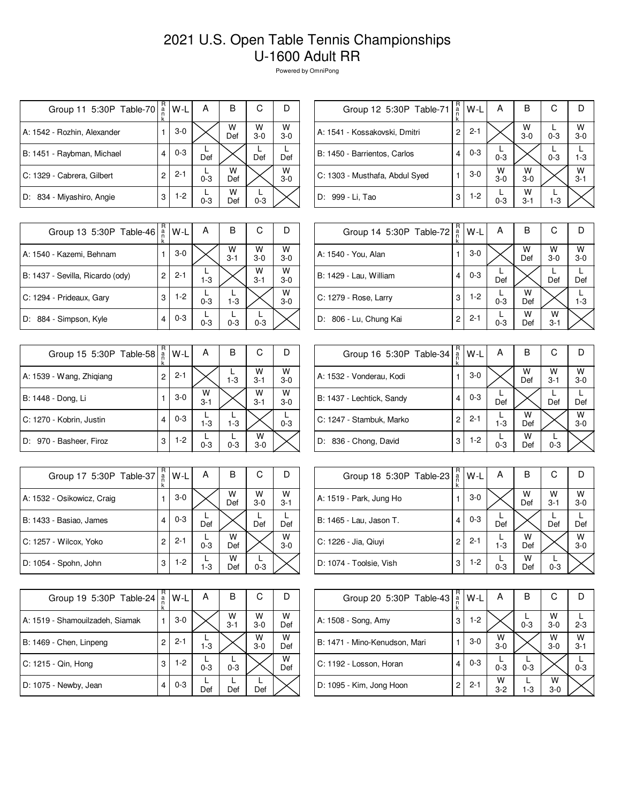## 2021 U.S. Open Table Tennis Championships U-1600 Adult RR

Powered by OmniPong

| Group 11 5:30P Table-70     | R<br>$\frac{a}{n}$ | W-L     | Α       | в        | С          |              |
|-----------------------------|--------------------|---------|---------|----------|------------|--------------|
| A: 1542 - Rozhin, Alexander |                    | $3-0$   |         | W<br>Def | W<br>$3-0$ | W<br>$3-0$   |
| B: 1451 - Raybman, Michael  |                    | $0 - 3$ | Def     |          | Def        | Def          |
| C: 1329 - Cabrera, Gilbert  | 2                  | $2 - 1$ | $0 - 3$ | w<br>Def |            | W<br>$3 - 0$ |
| D: 834 - Miyashiro, Angie   | 3                  | $1-2$   | $0 - 3$ | w<br>Def | $0 - 3$    |              |

| Group 12 5:30P Table-71        | R<br>a<br>n<br>k | W-L     | Α          | в            | С       |              |
|--------------------------------|------------------|---------|------------|--------------|---------|--------------|
| A: 1541 - Kossakovski, Dmitri  | 2                | $2 - 1$ |            | W<br>$3-0$   | $0 - 3$ | W<br>$3-0$   |
| B: 1450 - Barrientos, Carlos   | 4                | $0 - 3$ | $0 - 3$    |              | $0 - 3$ | $1 - 3$      |
| C: 1303 - Musthafa, Abdul Syed |                  | $3-0$   | W<br>$3-0$ | w<br>$3-0$   |         | W<br>$3 - 1$ |
| D: 999 - Li, Tao               | 3                | $1-2$   | $0 - 3$    | W<br>$3 - 1$ | $1-3$   |              |

| Group 13 5:30P Table-46          | R<br>a<br>k | W-L     | А       | в            | С            |              |
|----------------------------------|-------------|---------|---------|--------------|--------------|--------------|
| A: 1540 - Kazemi, Behnam         |             | $3-0$   |         | W<br>$3 - 1$ | W<br>$3-0$   | W<br>$3-0$   |
| B: 1437 - Sevilla, Ricardo (ody) | 2           | $2 - 1$ | $1 - 3$ |              | W<br>$3 - 1$ | W<br>$3 - 0$ |
| C: 1294 - Prideaux, Gary         | 3           | $1-2$   | $0 - 3$ | $1-3$        |              | w<br>$3 - 0$ |
| D: 884 - Simpson, Kyle           | 4           | $0 - 3$ | $0 - 3$ | $0 - 3$      | $0 - 3$      |              |

| Group 15 5:30P Table-58  | R<br>a<br>k | W-L     | A            | В       | С            |              |
|--------------------------|-------------|---------|--------------|---------|--------------|--------------|
| A: 1539 - Wang, Zhigiang | 2           | $2 - 1$ |              | $1 - 3$ | w<br>$3 - 1$ | W<br>$3 - 0$ |
| B: 1448 - Dong, Li       |             | $3-0$   | W<br>$3 - 1$ |         | W<br>$3 - 1$ | W<br>$3 - 0$ |
| C: 1270 - Kobrin, Justin | 4           | $0 - 3$ | $1 - 3$      | $1 - 3$ |              | $0 - 3$      |
| D: 970 - Basheer, Firoz  | 3           | $1-2$   | $0 - 3$      | $0 - 3$ | w<br>$3-0$   |              |

| Group 17 5:30P Table-37    | R<br>$\frac{a}{n}$<br>k | W-L     | А       | в        | С          |              |
|----------------------------|-------------------------|---------|---------|----------|------------|--------------|
| A: 1532 - Osikowicz, Craig |                         | $3-0$   |         | W<br>Def | W<br>$3-0$ | W<br>$3 - 1$ |
| B: 1433 - Basiao, James    |                         | $0 - 3$ | Def     |          | Def        | Def          |
| C: 1257 - Wilcox, Yoko     | 2                       | $2 - 1$ | $0 - 3$ | w<br>Def |            | W<br>$3 - 0$ |
| D: 1054 - Spohn, John      | 3                       | $1-2$   | $1 - 3$ | w<br>Def | $0 - 3$    |              |

| Group 19 5:30P Table-24         | R<br>a<br>k | W-L     | А       | в            | С          |          |
|---------------------------------|-------------|---------|---------|--------------|------------|----------|
| A: 1519 - Shamouilzadeh, Siamak |             | $3-0$   |         | w<br>$3 - 1$ | w<br>$3-0$ | w<br>Def |
| B: 1469 - Chen, Linpeng         | 2           | $2 - 1$ | $1-3$   |              | W<br>$3-0$ | w<br>Def |
| C: 1215 - Qin, Hong             | 3           | $1-2$   | $0 - 3$ | $0 - 3$      |            | W<br>Def |
| D: 1075 - Newby, Jean           |             | $0 - 3$ | Def     | Def          | Def        |          |

|   | W-L                                   | Α       | B        | C            |              |
|---|---------------------------------------|---------|----------|--------------|--------------|
| 1 | $3-0$                                 |         | W<br>Def | W<br>$3-0$   | W<br>$3 - 0$ |
| 4 | $0 - 3$                               | Def     |          | Def          | Def          |
| 3 | $1-2$                                 | $0 - 3$ | W<br>Def |              | $1 - 3$      |
| 2 | $2 - 1$                               | $0 - 3$ | w<br>Def | W<br>$3 - 1$ |              |
|   | Group 14 5:30P Table-72 $\frac{R}{n}$ |         |          |              |              |

| Group 16 5:30P Table-34   | R<br>a | W-L     | A       | в        | С            |            |
|---------------------------|--------|---------|---------|----------|--------------|------------|
| A: 1532 - Vonderau, Kodi  |        | $3-0$   |         | W<br>Def | W<br>$3 - 1$ | w<br>$3-0$ |
| B: 1437 - Lechtick, Sandy | 4      | $0 - 3$ | Def     |          | Def          | Def        |
| C: 1247 - Stambuk, Marko  | 2      | $2 - 1$ | $1 - 3$ | W<br>Def |              | W<br>$3-0$ |
| D: 836 - Chong, David     | 3      | $1-2$   | $0 - 3$ | w<br>Def | $0 - 3$      |            |

| Group 18 5:30P Table-23 | R<br>$\frac{a}{n}$ | W-L     | А       | В        | С            |              |
|-------------------------|--------------------|---------|---------|----------|--------------|--------------|
| A: 1519 - Park, Jung Ho |                    | $3-0$   |         | W<br>Def | W<br>$3 - 1$ | W<br>$3 - 0$ |
| B: 1465 - Lau, Jason T. | 4                  | $0 - 3$ | Def     |          | Def          | Def          |
| C: 1226 - Jia, Qiuyi    | 2                  | $2 - 1$ | $1 - 3$ | W<br>Def |              | w<br>$3 - 0$ |
| D: 1074 - Toolsie, Vish | 3                  | $1-2$   | $0 - 3$ | W<br>Def | $0 - 3$      |              |

| Group 20 5:30P Table-43       | R<br>a | $W-L$   | А            | В       | С            |              |
|-------------------------------|--------|---------|--------------|---------|--------------|--------------|
| A: 1508 - Song, Amy           | 3      | $1-2$   |              | $0 - 3$ | w<br>$3-0$   | $2 - 3$      |
| B: 1471 - Mino-Kenudson, Mari |        | $3-0$   | W<br>$3-0$   |         | w<br>$3-0$   | W<br>$3 - 1$ |
| C: 1192 - Losson, Horan       | 4      | $0 - 3$ | $0 - 3$      | $0 - 3$ |              | $0 - 3$      |
| D: 1095 - Kim, Jong Hoon      | 2      | $2 - 1$ | W<br>$3 - 2$ | $1-3$   | W<br>$3 - 0$ |              |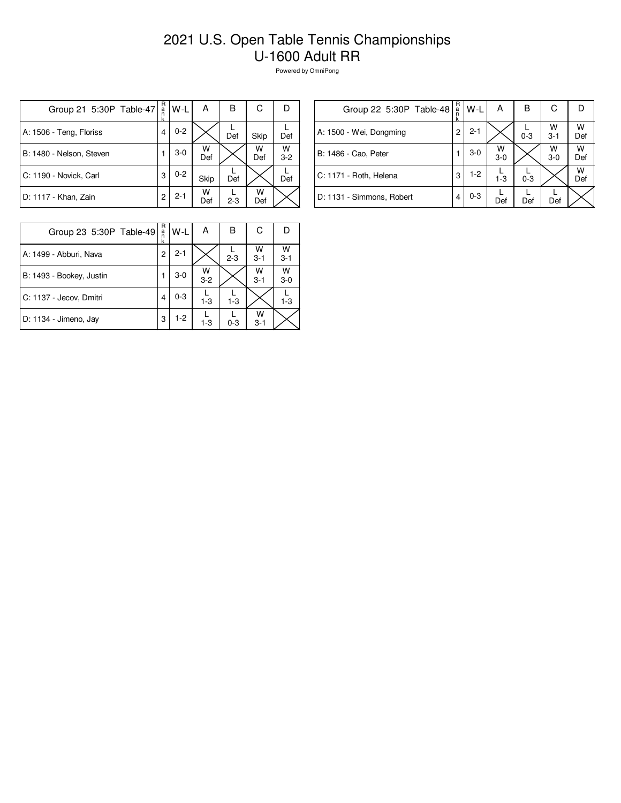## 2021 U.S. Open Table Tennis Championships U-1600 Adult RR

Powered by OmniPong

| Group 21 5:30P Table-47  | R<br>$\frac{a}{n}$<br>k | W-L     | А        | в       | С        |              |
|--------------------------|-------------------------|---------|----------|---------|----------|--------------|
| A: 1506 - Teng, Floriss  | 4                       | $0 - 2$ |          | Def     | Skip     | Def          |
| B: 1480 - Nelson, Steven |                         | $3-0$   | W<br>Def |         | W<br>Def | W<br>$3 - 2$ |
| C: 1190 - Novick, Carl   | 3                       | $0 - 2$ | Skip     | Def     |          | Def          |
| D: 1117 - Khan, Zain     | $\overline{c}$          | $2 - 1$ | W<br>Def | $2 - 3$ | W<br>Def |              |

| Group 22 5:30P Table-48   | R<br>a<br>n | W-L     | А          | в       | С            |          |
|---------------------------|-------------|---------|------------|---------|--------------|----------|
| A: 1500 - Wei, Dongming   | 2           | $2 - 1$ |            | $0 - 3$ | W<br>$3 - 1$ | w<br>Def |
| B: 1486 - Cao, Peter      |             | $3-0$   | W<br>$3-0$ |         | W<br>$3-0$   | w<br>Def |
| C: 1171 - Roth, Helena    | 3           | $1-2$   | $1 - 3$    | $0 - 3$ |              | w<br>Def |
| D: 1131 - Simmons, Robert | 4           | $0 - 3$ | Def        | Def     | Def          |          |

| Group 23 5:30P Table-49  | R<br>$\frac{a}{n}$<br>k | W-L     | А            | в       | С            |            |
|--------------------------|-------------------------|---------|--------------|---------|--------------|------------|
| A: 1499 - Abburi, Nava   | 2                       | $2 - 1$ |              | $2 - 3$ | w<br>$3 - 1$ | W<br>$3-1$ |
| B: 1493 - Bookey, Justin |                         | $3-0$   | W<br>$3 - 2$ |         | W<br>$3 - 1$ | W<br>$3-0$ |
| C: 1137 - Jecov, Dmitri  |                         | $0 - 3$ | $1 - 3$      | $1 - 3$ |              | $1-3$      |
| D: 1134 - Jimeno, Jay    | 3                       | 1-2     | $1-3$        | $0 - 3$ | w<br>$3 - 1$ |            |